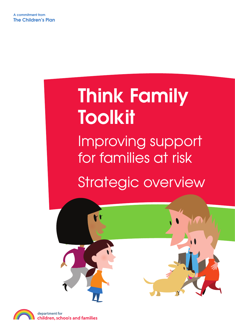# Think Family Toolkit Improving support for families at risk Strategic overview



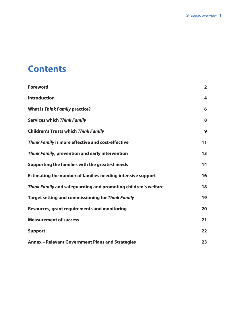# **Contents**

| <b>Foreword</b>                                                | $\overline{2}$ |
|----------------------------------------------------------------|----------------|
| <b>Introduction</b>                                            | 4              |
| <b>What is Think Family practice?</b>                          | 6              |
| <b>Services which Think Family</b>                             | 8              |
| <b>Children's Trusts which Think Family</b>                    | 9              |
| Think Family is more effective and cost-effective              | 11             |
| Think Family, prevention and early intervention                | 13             |
| Supporting the families with the greatest needs                | 14             |
| Estimating the number of families needing intensive support    | 16             |
| Think Family and safeguarding and promoting children's welfare | 18             |
| <b>Target setting and commissioning for Think Family</b>       | 19             |
| <b>Resources, grant requirements and monitoring</b>            | 20             |
| <b>Measurement of success</b>                                  | 21             |
| <b>Support</b>                                                 | 22             |
| <b>Annex - Relevant Government Plans and Strategies</b>        | 23             |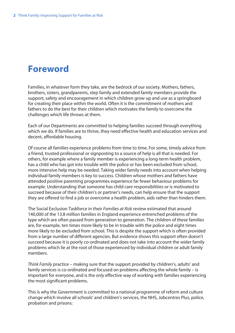# **Foreword**

Families, in whatever form they take, are the bedrock of our society. Mothers, fathers, brothers, sisters, grandparents, step family and extended family members provide the support, safety and encouragement in which children grow up and use as a springboard for creating their place within the world. Often it is the commitment of mothers and fathers to do the best for their children which motivates the family to overcome the challenges which life throws at them.

Each of our Departments are committed to helping families succeed through everything which we do. If families are to thrive, they need effective health and education services and decent, affordable housing.

Of course all families experience problems from time to time. For some, timely advice from a friend, trusted professional or signposting to a source of help is all that is needed. For others, for example where a family member is experiencing a long-term health problem, has a child who has got into trouble with the police or has been excluded from school, more intensive help may be needed. Taking wider family needs into account when helping individual family members is key to success. Children whose mothers and fathers have attended positive parenting programmes experience far fewer behaviour problems for example. Understanding that someone has child care responsibilities or is motivated to succeed because of their children's or partner's needs, can help ensure that the support they are offered to find a job or overcome a health problem, aids rather than hinders them.

The Social Exclusion Taskforce in their *Families at Risk* review estimated that around 140,000 of the 13.8 million families in England experience entrenched problems of the type which are often passed from generation to generation. The children of these families are, for example, ten times more likely to be in trouble with the police and eight times more likely to be excluded from school. This is despite the support which is often provided from a large number of different agencies. But evidence shows this support often doesn't succeed because it is poorly co-ordinated and does not take into account the wider family problems which lie at the root of those experienced by individual children or adult family members.

*Think Family* practice – making sure that the support provided by children's, adults' and family services is co-ordinated and focused on problems affecting the whole family – is important for everyone, and is the *only* effective way of working with families experiencing the most significant problems.

This is why the Government is committed to a national programme of reform and culture change which involve all schools' and children's services, the NHS, Jobcentres Plus, police, probation and prisons: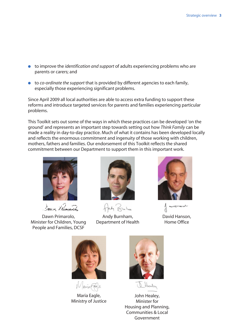- to improve the *identification and support* of adults experiencing problems who are parents or carers; and
- to *co-ordinate the support* that is provided by different agencies to each family, especially those experiencing significant problems.

Since April 2009 all local authorities are able to access extra funding to support these reforms and introduce targeted services for parents and families experiencing particular problems.

This Toolkit sets out some of the ways in which these practices can be developed 'on the ground' and represents an important step towards setting out how *Think Family* can be made a reality in day-to-day practice. Much of what it contains has been developed locally and reflects the enormous commitment and ingenuity of those working with children, mothers, fathers and families. Our endorsement of this Toolkit reflects the shared commitment between our Department to support them in this important work.



Saun Remarch

Dawn Primarolo, Minister for Children, Young People and Families, DCSF



fag Bulu

Andy Burnham, Department of Health



ستمويهما سعيلتديه David Hanson, Home Office



WariaFale

Maria Eagle, Ministry of Justice



John Healey, Minister for Housing and Planning, Communities & Local Government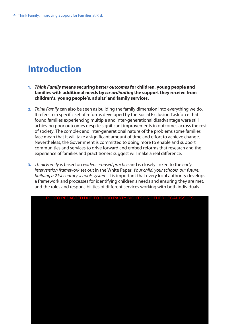# **Introduction**

- **1.** *Think Family* **means securing** *better outcomes* **for children, young people and families with additional needs by** *co-ordinating* **the support they receive from children's, young people's, adults' and family services.**
- **2.** *Think Family* can also be seen as building the family dimension into everything we do. It refers to a specific set of reforms developed by the Social Exclusion Taskforce that found families experiencing multiple and inter-generational disadvantage were still achieving poor outcomes despite significant improvements in outcomes across the rest of society. The complex and inter-generational nature of the problems some families face mean that it will take a significant amount of time and effort to achieve change. Nevertheless, the Government is committed to doing more to enable and support communities and services to drive forward and embed reforms that research and the experience of families and practitioners suggest will make a real difference.
- **3.** *Think Family* is based on *evidence-based practice* and is closely linked to the *early intervention framework* set out in the White Paper: *Your child, your schools, our future: building a 21st century schools system*. It is important that every local authority develops a framework and processes for identifying children's needs and ensuring they are met, and the roles and responsibilities of different services working with both individuals

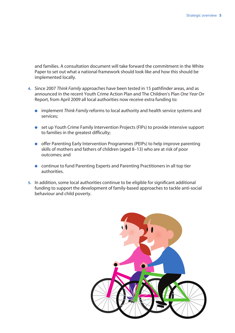and families. A consultation document will take forward the commitment in the White Paper to set out what a national framework should look like and how this should be implemented locally.

- **4.** Since 2007 *Think Family* approaches have been tested in 15 pathfinder areas, and as announced in the recent Youth Crime Action Plan and The Children's Plan *One Year On* Report, from April 2009 all local authorities now receive extra funding to:
	- implement *Think Family* reforms to local authority and health service systems and services;
	- set up Youth Crime Family Intervention Projects (FIPs) to provide intensive support to families in the greatest difficulty;
	- offer Parenting Early Intervention Programmes (PEIPs) to help improve parenting skills of mothers and fathers of children (aged 8–13) who are at risk of poor outcomes; and
	- continue to fund Parenting Experts and Parenting Practitioners in all top tier authorities.
- **5.** In addition, some local authorities continue to be eligible for significant additional funding to support the development of family-based approaches to tackle anti-social behaviour and child poverty.

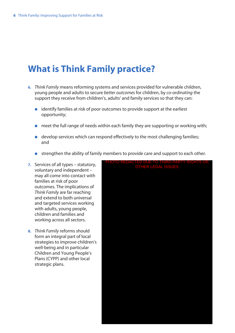# **What is Think Family practice?**

- **6.** *Think Family* means reforming systems and services provided for vulnerable children, young people and adults to secure *better outcomes* for children, by *co-ordinating* the support they receive from children's, adults' and family services so that they can:
	- identify families at risk of poor outcomes to provide support at the earliest opportunity;
	- meet the full range of needs within each family they are supporting or working with;
	- develop services which can respond effectively to the most challenging families; and
	- strengthen the ability of family members to provide care and support to each other.
- **7.** Services of all types statutory, voluntary and independent – may all come into contact with families at risk of poor outcomes. The implications of *Think Family* are far reaching and extend to both universal and targeted services working with adults, young people, children and families and working across all sectors.
- **8.** *Think Family* reforms should form an integral part of local strategies to improve children's well-being and in particular Children and Young People's Plans (CYPP) and other local strategic plans.

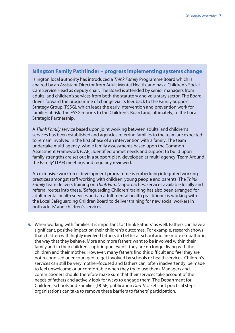### **Islington Family Pathfinder – progress implementing systems change**

Islington local authority has introduced a *Think Family* Programme Board which is chaired by an Assistant Director from Adult Mental Health, and has a Children's Social Care Service Head as deputy chair. The Board is attended by senior managers from adults' and children's services from both the statutory and voluntary sector. The Board drives forward the programme of change via its feedback to the Family Support Strategy Group (FSSG), which leads the early intervention and prevention work for families at risk. The FSSG reports to the Children's Board and, ultimately, to the Local Strategic Partnership.

A *Think Family* service based upon joint working between adults' and children's services has been established and agencies referring families to the team are expected to remain involved in the first phase of an intervention with a family. The team undertake multi-agency, whole family assessments based upon the Common Assessment Framework (CAF). Identified unmet needs and support to build upon family strengths are set out in a support plan, developed at multi-agency 'Team Around the Family' (TAF) meetings and regularly reviewed.

An extensive workforce development programme is embedding integrated working practices amongst staff working with children, young people and parents. The *Think Family* team delivers training on *Think Family* approaches, services available locally and referral routes into these. 'Safeguarding Children' training has also been arranged for adult mental health services and an adult mental health practitioner is working with the Local Safeguarding Children Board to deliver training for new social workers in both adults' and children's services.

**9.** When working with families it is important to 'Think Fathers' as well. Fathers can have a significant, positive impact on their children's outcomes. For example, research shows that children with highly involved fathers do better at school and are more empathic in the way that they behave. More and more fathers want to be involved within their family and in their children's upbringing even if they are no longer living with the children and their mother. However, many fathers find this difficult and feel they are not recognised or encouraged to get involved by schools or health services. Children's services can still be very mother-focused and fathers can, often inadvertently, be made to feel unwelcome or uncomfortable when they try to use them. Managers and commissioners should therefore make sure that their services take account of the needs of fathers and actively look for ways to engage them. The Department for Children, Schools and Families (DCSF) publication *Dad Test* sets out practical steps organisations can take to remove these barriers to fathers' participation.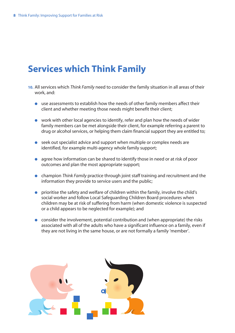# **Services which Think Family**

- **10.** All services which *Think Family* need to consider the family situation in all areas of their work, and:
	- use assessments to establish how the needs of other family members affect their client and whether meeting those needs might benefit their client;
	- work with other local agencies to identify, refer and plan how the needs of wider family members can be met alongside their client, for example referring a parent to drug or alcohol services, or helping them claim financial support they are entitled to;
	- seek out specialist advice and support when multiple or complex needs are identified, for example multi-agency whole family support;
	- agree how information can be shared to identify those in need or at risk of poor outcomes and plan the most appropriate support;
	- champion *Think Family* practice through joint staff training and recruitment and the information they provide to service users and the public;
	- prioritise the safety and welfare of children within the family, involve the child's social worker and follow Local Safeguarding Children Board procedures when children may be at risk of suffering from harm (when domestic violence is suspected or a child appears to be neglected for example); and
	- consider the involvement, potential contribution and (when appropriate) the risks associated with all of the adults who have a significant influence on a family, even if they are not living in the same house, or are not formally a family 'member'.

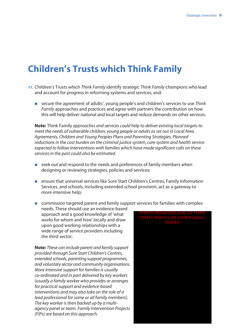# **Children's Trusts which Think Family**

- **11.** Children's Trusts which *Think Family* identify strategic *Think Family* champions who lead and account for progress in reforming systems and services, and:
	- secure the agreement of adults', young people's and children's services to use *Think Family* approaches and practices and agree with partners the contribution on how this will help deliver national and local targets and reduce demands on other services;

**Note:** Think Family *approaches and services could help to deliver existing local targets to meet the needs of vulnerable children, young people or adults as set out in Local Area Agreements, Children and Young Peoples Plans and Parenting Strategies. Planned reductions in the cost burden on the criminal justice system, care system and health service expected to follow interventions with families which have made significant calls on these services in the past could also be estimated.*

- seek out and respond to the needs and preferences of family members when designing or reviewing strategies, policies and services;
- ensure that universal services like Sure Start Children's Centres, Family Information Services, and schools, including extended school provision, act as a gateway to more intensive help;
- commission targeted parent and family support services for families with complex

needs. These should use an evidence-based approach and a good knowledge of 'what works for whom and how' locally and draw upon good working relationships with a wide range of service providers including the third sector;

**Note:** *These can include parent and family support provided through Sure Start Children's Centres, extended schools, parenting support programmes, and voluntary sector and community organisations. More intensive support for families is usually co-ordinated and in part delivered by key workers (usually a family worker who provides or arranges for practical support and evidence-based interventions and may also take on the role of a lead professional for some or all family members). The key worker is then backed up by a multiagency panel or team. Family Intervention Projects (FIPs) are based on this approach.*

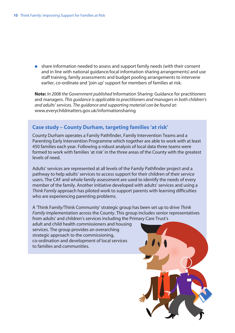● share information needed to assess and support family needs (with their consent and in line with national guidance/local information sharing arrangements) and use staff training, family assessments and budget pooling arrangements to intervene earlier, co-ordinate and 'join up' support for members of families at risk.

**Note:** *In 2008 the Government published* Information Sharing: Guidance for practitioners and managers*. This guidance is applicable to practitioners and managers in both children's and adults' services. The guidance and supporting material can be found at:* www.everychildmatters.gov.uk/informationsharing

### **Case study – County Durham, targeting families 'at risk'**

County Durham operates a Family Pathfinder, Family Intervention Teams and a Parenting Early Intervention Programme which together are able to work with at least 450 families each year. Following a robust analysis of local data three teams were formed to work with families 'at risk' in the three areas of the County with the greatest levels of need.

Adults' services are represented at all levels of the Family Pathfinder project and a pathway to help adults' services to access support for their children of their service users. The CAF and whole family assessment are used to identify the needs of every member of the family. Another initiative developed with adults' services and using a *Think Family* approach has piloted work to support parents with learning difficulties who are experiencing parenting problems.

A 'Think Family/Think Community' strategic group has been set up to drive *Think Family* implementation across the County. This group includes senior representatives from adults' and children's services including the Primary Care Trust's

adult and child health commissioners and housing services. The group provides an overarching strategic approach to the commissioning, co-ordination and development of local services to families and communities.

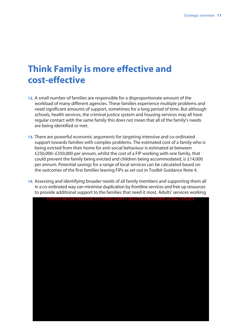# **Think Family is more effective and cost‑effective**

- **12.** A small number of families are responsible for a disproportionate amount of the workload of many different agencies. These families experience multiple problems and need significant amounts of support, sometimes for a long period of time. But although schools, health services, the criminal justice system and housing services may all have regular contact with the same family this does not mean that all of the family's needs are being identified or met.
- **13.** There are powerful economic arguments for targeting intensive and co-ordinated support towards families with complex problems. The estimated cost of a family who is being evicted from their home for anti-social behaviour is estimated at between £250,000–£350,000 per annum, whilst the cost of a FIP working with one family, that could prevent the family being evicted and children being accommodated, is £14,000 per annum. Potential savings for a range of local services can be calculated based on the outcomes of the first families leaving FIPs as set out in Toolkit Guidance Note 4.
- **14.** Assessing and identifying broader needs of all family members and supporting them all in a co-ordinated way can minimise duplication by frontline services and free up resources to provide additional support to the families that need it most. Adults' services working

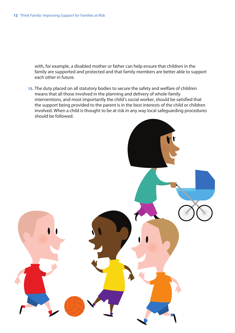with, for example, a disabled mother or father can help ensure that children in the family are supported and protected and that family members are better able to support each other in future.

**15.** The duty placed on all statutory bodies to secure the safety and welfare of children means that all those involved in the planning and delivery of whole-family interventions, and most importantly the child's social worker, should be satisfied that the support being provided to the parent is in the best interests of the child or children involved. When a child is thought to be at risk in any way local safeguarding procedures should be followed.

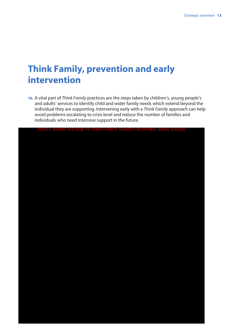# **Think Family, prevention and early intervention**

**16.** A vital part of *Think Family* practices are the steps taken by children's, young people's and adults' services to identify child and wider family needs which extend beyond the individual they are supporting. Intervening early with a *Think Family* approach can help avoid problems escalating to crisis level and reduce the number of families and individuals who need intensive support in the future.

|  |  |  |  | PHOTO REDACTED DUE TO THIRD PARTY RIGHTS OR OTHER LEGAL ISSUES |  |
|--|--|--|--|----------------------------------------------------------------|--|
|  |  |  |  |                                                                |  |
|  |  |  |  |                                                                |  |
|  |  |  |  |                                                                |  |
|  |  |  |  |                                                                |  |
|  |  |  |  |                                                                |  |
|  |  |  |  |                                                                |  |
|  |  |  |  |                                                                |  |
|  |  |  |  |                                                                |  |
|  |  |  |  |                                                                |  |
|  |  |  |  |                                                                |  |
|  |  |  |  |                                                                |  |
|  |  |  |  |                                                                |  |
|  |  |  |  |                                                                |  |
|  |  |  |  |                                                                |  |
|  |  |  |  |                                                                |  |
|  |  |  |  |                                                                |  |
|  |  |  |  |                                                                |  |
|  |  |  |  |                                                                |  |
|  |  |  |  |                                                                |  |
|  |  |  |  |                                                                |  |
|  |  |  |  |                                                                |  |
|  |  |  |  |                                                                |  |
|  |  |  |  |                                                                |  |
|  |  |  |  |                                                                |  |
|  |  |  |  |                                                                |  |
|  |  |  |  |                                                                |  |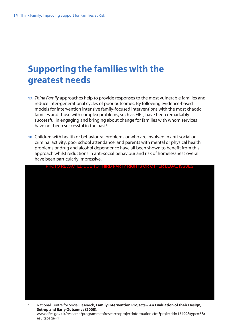# **Supporting the families with the greatest needs**

- **17.** *Think Family* approaches help to provide responses to the most vulnerable families and reduce inter-generational cycles of poor outcomes. By following evidence-based models for intervention intensive family-focused interventions with the most chaotic families and those with complex problems, such as FIPs, have been remarkably successful in engaging and bringing about change for families with whom services have not been successful in the past $^{\rm 1}.$
- **18.** Children with health or behavioural problems or who are involved in anti-social or criminal activity, poor school attendance, and parents with mental or physical health problems or drug and alcohol dependence have all been shown to benefit from this approach whilst reductions in anti-social behaviour and risk of homelessness overall have been particularly impressive.



1 National Centre for Social Research, **Family Intervention Projects – An Evaluation of their Design, Set-up and Early Outcomes (2008).** www.dfes.gov.uk/research/programmeofresearch/projectinformation.cfm?projectId=15499&type=5&r esultspage=1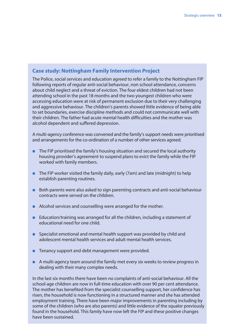## **Case study: Nottingham Family Intervention Project**

The Police, social services and education agreed to refer a family to the Nottingham FIP following reports of regular anti-social behaviour, non school attendance, concerns about child neglect and a threat of eviction. The four eldest children had not been attending school in the past 18 months and the two youngest children who were accessing education were at risk of permanent exclusion due to their very challenging and aggressive behaviour. The children's parents showed little evidence of being able to set boundaries, exercise discipline methods and could not communicate well with their children. The father had acute mental health difficulties and the mother was alcohol dependent and suffered depression.

A multi-agency conference was convened and the family's support needs were prioritised and arrangements for the co-ordination of a number of other services agreed.

- The FIP prioritised the family's housing situation and secured the local authority housing provider's agreement to suspend plans to evict the family while the FIP worked with family members.
- The FIP worker visited the family daily, early (7am) and late (midnight) to help establish parenting routines.
- Both parents were also asked to sign parenting contracts and anti-social behaviour contracts were served on the children.
- Alcohol services and counselling were arranged for the mother.
- Education/training was arranged for all the children, including a statement of educational need for one child.
- Specialist emotional and mental health support was provided by child and adolescent mental health services and adult mental health services.
- Tenancy support and debt management were provided.
- A multi-agency team around the family met every six weeks to review progress in dealing with their many complex needs.

In the last six months there have been no complaints of anti-social behaviour. All the school-age children are now in full-time education with over 90 per cent attendance. The mother has benefited from the specialist counselling support, her confidence has risen, the household is now functioning in a structured manner and she has attended employment training. There have been major improvements in parenting including by some of the children (who are also parents) and little evidence of the squalor previously found in the household. This family have now left the FIP and these positive changes have been sustained.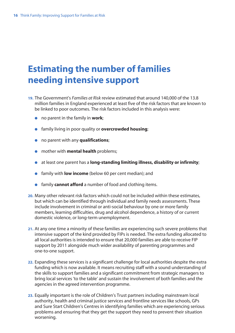# **Estimating the number of families needing intensive support**

- **19.** The Government's *Families at Risk* review estimated that around 140,000 of the 13.8 million families in England experienced at least five of the risk factors that are known to be linked to poor outcomes. The risk factors included in this analysis were:
	- no parent in the family in **work**;
	- family living in poor quality or **overcrowded housing**;
	- no parent with any **qualifications**;
	- mother with **mental health** problems;
	- at least one parent has a **long-standing limiting illness, disability or infirmity**;
	- family with **low income** (below 60 per cent median); and
	- family **cannot afford** a number of food and clothing items.
- **20.** Many other relevant risk factors which could not be included within these estimates, but which can be identified through individual and family needs assessments. These include involvement in criminal or anti-social behaviour by one or more family members, learning difficulties, drug and alcohol dependence, a history of or current domestic violence, or long-term unemployment.
- **21.** At any one time a minority of these families are experiencing such severe problems that intensive support of the kind provided by FIPs is needed. The extra funding allocated to all local authorities is intended to ensure that 20,000 families are able to receive FIP support by 2011 alongside much wider availability of parenting programmes and one-to-one support.
- **22.** Expanding these services is a significant challenge for local authorities despite the extra funding which is now available. It means recruiting staff with a sound understanding of the skills to support families and a significant commitment from strategic managers to bring local services 'to the table' and sustain the involvement of both families and the agencies in the agreed intervention programme.
- **23.** Equally important is the role of Children's Trust partners including mainstream local authority, health and criminal justice services and frontline services like schools, GPs and Sure Start Children's Centres in identifying families which are experiencing serious problems and ensuring that they get the support they need to prevent their situation worsening.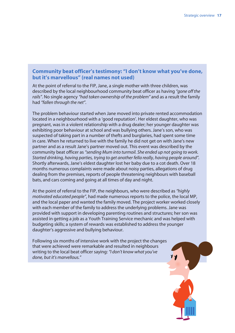### **Community beat officer's testimony: "I don't know what you've done, but it's marvellous" (real names not used)**

At the point of referral to the FIP, Jane, a single mother with three children, was described by the local neighbourhood community beat officer as having *"gone off the rails"*. No single agency *"had taken ownership of the problem"* and as a result the family had *"fallen through the net"*.

The problem behaviour started when Jane moved into private rented accommodation located in a neighbourhood with a 'good reputation'. Her eldest daughter, who was pregnant, was in a violent relationship with a drug dealer; her younger daughter was exhibiting poor behaviour at school and was bullying others. Jane's son, who was suspected of taking part in a number of thefts and burglaries, had spent some time in care. When he returned to live with the family he did not get on with Jane's new partner and as a result Jane's partner moved out. This event was described by the community beat officer as *"sending Mum into turmoil. She ended up not going to work. Started drinking, having parties, trying to get another fella really, having people around".* Shortly afterwards, Jane's eldest daughter lost her baby due to a cot death. Over 18 months numerous complaints were made about noisy parties, allegations of drug dealing from the premises, reports of people threatening neighbours with baseball bats, and cars coming and going at all times of day and night.

At the point of referral to the FIP, the neighbours, who were described as *"highly motivated educated people"*, had made numerous reports to the police, the local MP, and the local paper and wanted the family moved. The project worker worked closely with each member of the family to address the underlying problems. Jane was provided with support in developing parenting routines and structures; her son was assisted in getting a job as a Youth Training Service mechanic and was helped with budgeting skills; a system of rewards was established to address the younger daughter's aggressive and bullying behaviour.

Following six months of intensive work with the project the changes that were achieved were remarkable and resulted in neighbours writing to the local beat officer saying: *"I don't know what you've done, but it's marvellous."*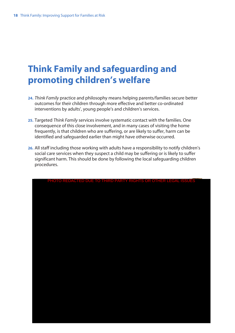# **Think Family and safeguarding and promoting children's welfare**

- **24.** *Think Family* practice and philosophy means helping parents/families secure better outcomes for their children through more effective and better co-ordinated interventions by adults', young people's and children's services.
- **25.** Targeted *Think Family* services involve systematic contact with the families. One consequence of this close involvement, and in many cases of visiting the home frequently, is that children who are suffering, or are likely to suffer, harm can be identified and safeguarded earlier than might have otherwise occurred.
- **26.** All staff including those working with adults have a responsibility to notify children's social care services when they suspect a child may be suffering or is likely to suffer significant harm. This should be done by following the local safeguarding children procedures.

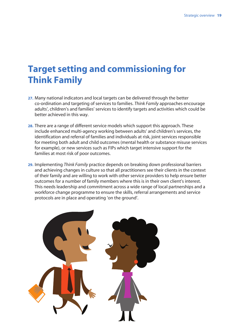# **Target setting and commissioning for Think Family**

- **27.** Many national indicators and local targets can be delivered through the better co-ordination and targeting of services to families. *Think Family* approaches encourage adults', children's and families' services to identify targets and activities which could be better achieved in this way.
- **28.** There are a range of different service models which support this approach. These include enhanced multi-agency working between adults' and children's services, the identification and referral of families and individuals at risk, joint services responsible for meeting both adult and child outcomes (mental health or substance misuse services for example), or new services such as FIPs which target intensive support for the families at most risk of poor outcomes.
- **29.** Implementing *Think Family* practice depends on breaking down professional barriers and achieving changes in culture so that all practitioners see their clients in the context of their family and are willing to work with other service providers to help ensure better outcomes for a number of family members where this is in their own client's interest. This needs leadership and commitment across a wide range of local partnerships and a workforce change programme to ensure the skills, referral arrangements and service protocols are in place and operating 'on the ground'.

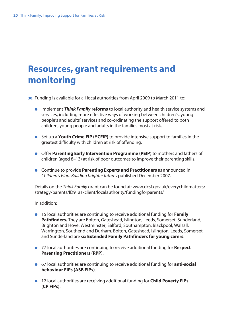# **Resources, grant requirements and monitoring**

**30.** Funding is available for all local authorities from April 2009 to March 2011 to:

- Implement *Think Family* **reforms** to local authority and health service systems and services, including more effective ways of working between children's, young people's and adults' services and co-ordinating the support offered to both children, young people and adults in the families most at risk.
- Set up a **Youth Crime FIP (YCFIP)** to provide intensive support to families in the greatest difficulty with children at risk of offending.
- Offer **Parenting Early Intervention Programme (PEIP)** to mothers and fathers of children (aged 8–13) at risk of poor outcomes to improve their parenting skills.
- Continue to provide **Parenting Experts and Practitioners** as announced in *Children's Plan: Building brighter futures* published December 2007.

Details on the *Think Family* grant can be found at: www.dcsf.gov.uk/everychildmatters/ strategy/parents/ID91askclient/localauthority/fundingforparents/

In addition:

- 15 local authorities are continuing to receive additional funding for **Family Pathfinders.** They are Bolton, Gateshead, Islington, Leeds, Somerset, Sunderland, Brighton and Hove, Westminster, Salford, Southampton, Blackpool, Walsall, Warrington, Southend and Durham. Bolton, Gateshead, Islington, Leeds, Somerset and Sunderland are six **Extended Family Pathfinders for young carers**.
- 77 local authorities are continuing to receive additional funding for **Respect Parenting Practitioners (RPP)**.
- 67 local authorities are continuing to receive additional funding for **anti-social behaviour FIPs (ASB FIPs)**.
- 12 local authorities are receiving additional funding for **Child Poverty FIPs (CP FIPs)**.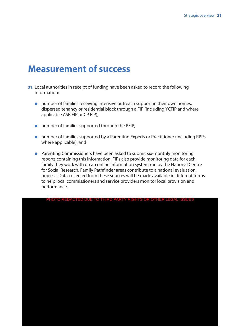# **Measurement of success**

- **31.** Local authorities in receipt of funding have been asked to record the following information:
	- number of families receiving intensive outreach support in their own homes, dispersed tenancy or residential block through a FIP (including YCFIP and where applicable ASB FIP or CP FIP);
	- number of families supported through the PEIP;
	- number of families supported by a Parenting Experts or Practitioner (including RPPs where applicable); and
	- Parenting Commissioners have been asked to submit six-monthly monitoring reports containing this information. FIPs also provide monitoring data for each family they work with on an online information system run by the National Centre for Social Research. Family Pathfinder areas contribute to a national evaluation process. Data collected from these sources will be made available in different forms to help local commissioners and service providers monitor local provision and performance.

PHOTO REDACTED DUE TO THIRD PARTY RIGHTS OR OTHER LEGAL II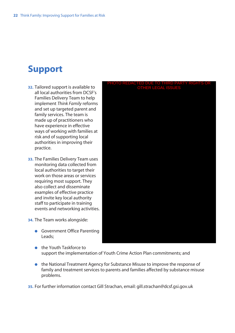# **Support**

- **32.** Tailored support is available to all local authorities from DCSF's Families Delivery Team to help implement *Think Family* reforms and set up targeted parent and family services. The team is made up of practitioners who have experience in effective ways of working with families at risk and of supporting local authorities in improving their practice.
- **33.** The Families Delivery Team uses monitoring data collected from local authorities to target their work on those areas or services requiring most support. They also collect and disseminate examples of effective practice and invite key local authority staff to participate in training events and networking activities.
- **34.** The Team works alongside:
	- Government Office Parenting Leads;
	- the Youth Taskforce to support the implementation of Youth Crime Action Plan commitments; and
	- the National Treatment Agency for Substance Misuse to improve the response of family and treatment services to parents and families affected by substance misuse problems.

**35.** For further information contact Gill Strachan, email: gill.strachan@dcsf.gsi.gov.uk

# PHOTO REDACTED DUE TO THIRD PARTY RIGHTS OR OTHER LEGAL ISSUES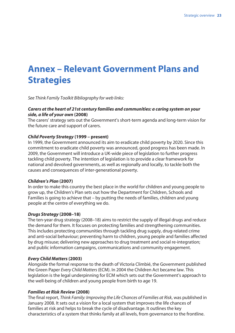# **Annex – Relevant Government Plans and Strategies**

*See Think Family Toolkit Bibliography for web links:*

### *Carers at the heart of 21st century families and communities: a caring system on your side, a life of your own* **(2008)**

The carers' strategy sets out the Government's short-term agenda and long-term vision for the future care and support of carers.

### *Child Poverty Strategy* **(1999 – present)**

In 1999, the Government announced its aim to eradicate child poverty by 2020. Since this commitment to eradicate child poverty was announced, good progress has been made. In 2009, the Government will introduce a UK-wide piece of legislation to further progress tackling child poverty. The intention of legislation is to provide a clear framework for national and devolved governments, as well as regionally and locally, to tackle both the causes and consequences of inter-generational poverty.

### *Children's Plan* **(2007)**

In order to make this country the best place in the world for children and young people to grow up, the Children's Plan sets out how the Department for Children, Schools and Families is going to achieve that – by putting the needs of families, children and young people at the centre of everything we do.

### *Drugs Strategy* **(2008–18)**

The ten-year drug strategy (2008–18) aims to restrict the supply of illegal drugs and reduce the demand for them. It focuses on protecting families and strengthening communities. This includes protecting communities through tackling drug supply, drug-related crime and anti-social behaviour; preventing harm to children, young people and families affected by drug misuse; delivering new approaches to drug treatment and social re-integration; and public information campaigns, communications and community engagement.

### *Every Child Matters* **(2003)**

Alongside the formal response to the death of Victoria Climbié, the Government published the Green Paper *Every Child Matters* (ECM). In 2004 the Children Act became law. This legislation is the legal underpinning for ECM which sets out the Government's approach to the well-being of children and young people from birth to age 19.

### *Families at Risk Review* **(2008)**

The final report, *Think Family: Improving the Life Chances of Families at Risk*, was published in January 2008. It sets out a vision for a local system that improves the life chances of families at risk and helps to break the cycle of disadvantage. It outlines the key characteristics of a system that thinks family at all levels, from governance to the frontline.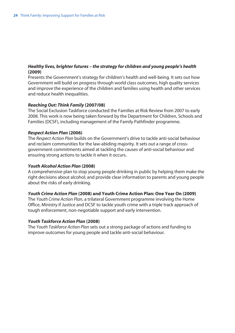### *Healthy lives, brighter futures – the strategy for children and young people's health* **(2009)**

Presents the Government's strategy for children's health and well-being. It sets out how Government will build on progress through world class outcomes, high quality services and improve the experience of the children and families using health and other services and reduce health inequalities.

### *Reaching Out: Think Family* **(2007/08)**

The Social Exclusion Taskforce conducted the Families at Risk Review from 2007 to early 2008. This work is now being taken forward by the Department for Children, Schools and Families (DCSF), including management of the Family Pathfinder programme.

### *Respect Action Plan* **(2006)**

The *Respect Action Plan* builds on the Government's drive to tackle anti-social behaviour and reclaim communities for the law-abiding majority. It sets out a range of crossgovernment commitments aimed at tackling the causes of anti-social behaviour and ensuring strong actions to tackle it when it occurs.

### *Youth Alcohol Action Plan* **(2008)**

A comprehensive plan to stop young people drinking in public by helping them make the right decisions about alcohol; and provide clear information to parents and young people about the risks of early drinking.

### *Youth Crime Action Plan* **(2008) and Youth Crime Action Plan: One Year On (2009)**

The *Youth Crime Action Plan*, a trilateral Government programme involving the Home Office, Ministry if Justice and DCSF to tackle youth crime with a triple track approach of tough enforcement, non-negotiable support and early intervention.

### *Youth Taskforce Action Plan* **(2008)**

The *Youth Taskforce Action Plan* sets out a strong package of actions and funding to improve outcomes for young people and tackle anti-social behaviour.